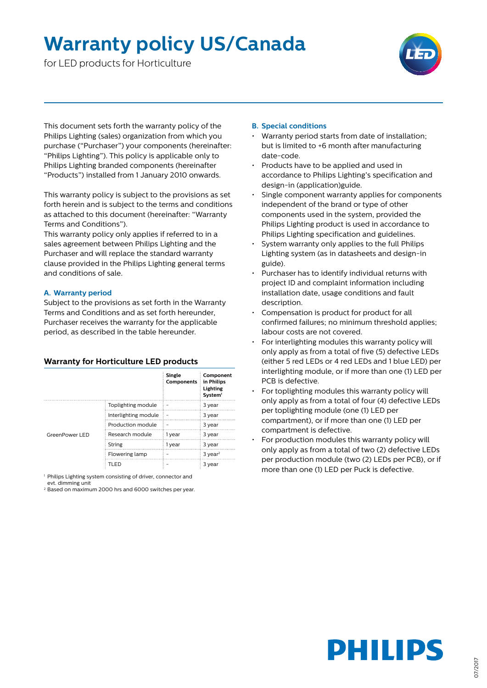## **Warranty policy US/Canada**

for LED products for Horticulture



This document sets forth the warranty policy of the Philips Lighting (sales) organization from which you purchase ("Purchaser") your components (hereinafter: "Philips Lighting"). This policy is applicable only to Philips Lighting branded components (hereinafter "Products") installed from 1 January 2010 onwards.

This warranty policy is subject to the provisions as set forth herein and is subject to the terms and conditions as attached to this document (hereinafter: "Warranty Terms and Conditions").

This warranty policy only applies if referred to in a sales agreement between Philips Lighting and the Purchaser and will replace the standard warranty clause provided in the Philips Lighting general terms and conditions of sale.

#### **A. Warranty period**

Subject to the provisions as set forth in the Warranty Terms and Conditions and as set forth hereunder, Purchaser receives the warranty for the applicable period, as described in the table hereunder.

#### **Warranty for Horticulture LED products**

|                |                      | <b>Single</b><br>Components | Component<br>in Philips<br>Lighting<br>System <sup>1</sup> |
|----------------|----------------------|-----------------------------|------------------------------------------------------------|
| GreenPower LED | Toplighting module   |                             | 3 year                                                     |
|                | Interlighting module |                             | 3 year                                                     |
|                | Production module    |                             | 3 year                                                     |
|                | Research module      | 1 year                      | 3 year                                                     |
|                | String               | 1 year                      | 3 year                                                     |
|                | Flowering lamp       |                             | $3$ year <sup>2</sup>                                      |
|                | TLED                 |                             | 3 year                                                     |

1 Philips Lighting system consisting of driver, connector and evt. dimming unit

<sup>2</sup> Based on maximum 2000 hrs and 6000 switches per year.

#### **B. Special conditions**

- Warranty period starts from date of installation; but is limited to +6 month after manufacturing date-code.
- Products have to be applied and used in accordance to Philips Lighting's specification and design-in (application)guide.
- Single component warranty applies for components independent of the brand or type of other components used in the system, provided the Philips Lighting product is used in accordance to Philips Lighting specification and guidelines.
- System warranty only applies to the full Philips Lighting system (as in datasheets and design-in guide).
- Purchaser has to identify individual returns with project ID and complaint information including installation date, usage conditions and fault description.
- Compensation is product for product for all confirmed failures; no minimum threshold applies; labour costs are not covered.
- For interlighting modules this warranty policy will only apply as from a total of five (5) defective LEDs (either 5 red LEDs or 4 red LEDs and 1 blue LED) per interlighting module, or if more than one (1) LED per PCB is defective.
- For toplighting modules this warranty policy will only apply as from a total of four (4) defective LEDs per toplighting module (one (1) LED per compartment), or if more than one (1) LED per compartment is defective.
- For production modules this warranty policy will only apply as from a total of two (2) defective LEDs per production module (two (2) LEDs per PCB), or if more than one (1) LED per Puck is defective.